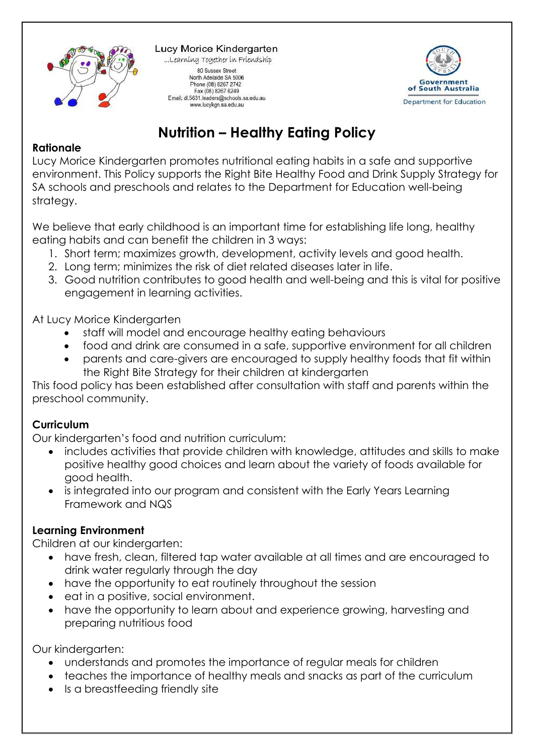

Lucy Morice Kindergarten ...Learning Together in Friendship 80 Sussex Street North Adelaide SA 5006 Phone (08) 8267 2742 Fax (08) 8267 6249 Email: dl.5631.leaders@schools.sa.edu.au www.lucykgn.sa.edu.au



# **Nutrition – Healthy Eating Policy**

#### **Rationale**

Lucy Morice Kindergarten promotes nutritional eating habits in a safe and supportive environment. This Policy supports the Right Bite Healthy Food and Drink Supply Strategy for SA schools and preschools and relates to the Department for Education well-being strategy.

We believe that early childhood is an important time for establishing life long, healthy eating habits and can benefit the children in 3 ways:

- 1. Short term; maximizes growth, development, activity levels and good health.
- 2. Long term; minimizes the risk of diet related diseases later in life.
- 3. Good nutrition contributes to good health and well-being and this is vital for positive engagement in learning activities.

At Lucy Morice Kindergarten

- staff will model and encourage healthy eating behaviours
- food and drink are consumed in a safe, supportive environment for all children
- parents and care-givers are encouraged to supply healthy foods that fit within the Right Bite Strategy for their children at kindergarten

This food policy has been established after consultation with staff and parents within the preschool community.

### **Curriculum**

Our kindergarten's food and nutrition curriculum:

- includes activities that provide children with knowledge, attitudes and skills to make positive healthy good choices and learn about the variety of foods available for good health.
- is integrated into our program and consistent with the Early Years Learning Framework and NQS

### **Learning Environment**

Children at our kindergarten:

- have fresh, clean, filtered tap water available at all times and are encouraged to drink water regularly through the day
- have the opportunity to eat routinely throughout the session
- eat in a positive, social environment.
- have the opportunity to learn about and experience growing, harvesting and preparing nutritious food

Our kindergarten:

- understands and promotes the importance of regular meals for children
- teaches the importance of healthy meals and snacks as part of the curriculum
- Is a breastfeeding friendly site